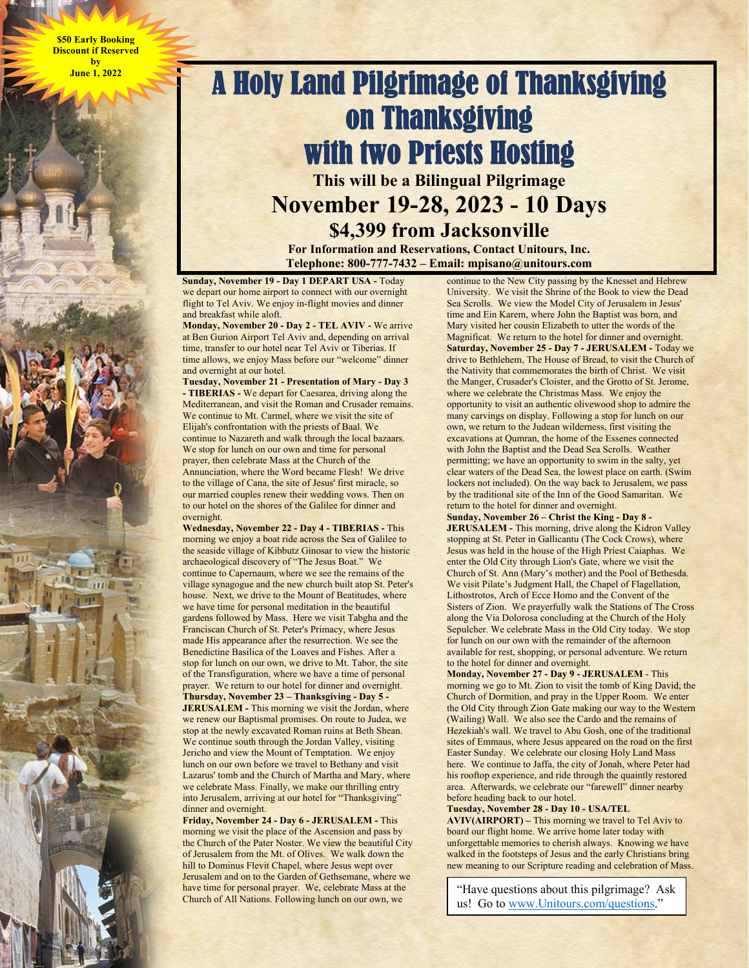**\$50 Early Booking Discount if Reserved by June 1, 2022** 

## A Holy Land Pilgrimage of Thanksgiving on Thanksgiving with two Priests Hosting **This will be a Bilingual Pilgrimage November 19-28, 2023 - 10 Days \$4,399 from Jacksonville**

**For Information and Reservations, Contact Unitours, Inc. Telephone: 800-777-7432 – Email: mpisano@unitours.com** 

**Sunday, November 19 - Day 1 DEPART USA - Today** we depart our home airport to connect with our overnight flight to Tel Aviv. We enjoy in-flight movies and dinner and breakfast while aloft.

**Monday, November 20 - Day 2 - TEL AVIV - We arrive** at Ben Gurion Airport Tel Aviv and, depending on arrival time, transfer to our hotel near Tel Aviv or Tiberias. If time allows, we enjoy Mass before our "welcome" dinner and overnight at our hotel.

**Tuesday, November 21 - Presentation of Mary - Day 3 - TIBERIAS -** We depart for Caesarea, driving along the Mediterranean, and visit the Roman and Crusader remains. We continue to Mt. Carmel, where we visit the site of Elijah's confrontation with the priests of Baal. We continue to Nazareth and walk through the local bazaars. We stop for lunch on our own and time for personal prayer, then celebrate Mass at the Church of the Annunciation, where the Word became Flesh! We drive to the village of Cana, the site of Jesus' first miracle, so our married couples renew their wedding vows. Then on to our hotel on the shores of the Galilee for dinner and overnight.

**Wednesday, November 22 - Day 4 - TIBERIAS -** This morning we enjoy a boat ride across the Sea of Galilee to the seaside village of Kibbutz Ginosar to view the historic archaeological discovery of "The Jesus Boat." We continue to Capernaum, where we see the remains of the village synagogue and the new church built atop St. Peter's house. Next, we drive to the Mount of Beatitudes, where we have time for personal meditation in the beautiful gardens followed by Mass. Here we visit Tabgha and the Franciscan Church of St. Peter's Primacy, where Jesus made His appearance after the resurrection. We see the Benedictine Basilica of the Loaves and Fishes. After a stop for lunch on our own, we drive to Mt. Tabor, the site of the Transfiguration, where we have a time of personal prayer. We return to our hotel for dinner and overnight. **Thursday, November 23 – Thanksgiving - Day 5 - JERUSALEM - This morning we visit the Jordan, where** we renew our Baptismal promises. On route to Judea, we stop at the newly excavated Roman ruins at Beth Shean. We continue south through the Jordan Valley, visiting Jericho and view the Mount of Temptation. We enjoy lunch on our own before we travel to Bethany and visit Lazarus' tomb and the Church of Martha and Mary, where we celebrate Mass. Finally, we make our thrilling entry into Jerusalem, arriving at our hotel for "Thanksgiving" dinner and overnight.

**Friday, November 24 - Day 6 - JERUSALEM -** This morning we visit the place of the Ascension and pass by the Church of the Pater Noster. We view the beautiful City of Jerusalem from the Mt. of Olives. We walk down the hill to Dominus Flevit Chapel, where Jesus wept over Jerusalem and on to the Garden of Gethsemane, where we have time for personal prayer. We, celebrate Mass at the Church of All Nations. Following lunch on our own, we

continue to the New City passing by the Knesset and Hebrew University. We visit the Shrine of the Book to view the Dead Sea Scrolls. We view the Model City of Jerusalem in Jesus' time and Ein Karem, where John the Baptist was born, and Mary visited her cousin Elizabeth to utter the words of the Magnificat. We return to the hotel for dinner and overnight. **Saturday, November 25 - Day 7 - JERUSALEM -** Today we drive to Bethlehem, The House of Bread, to visit the Church of the Nativity that commemorates the birth of Christ. We visit the Manger, Crusader's Cloister, and the Grotto of St. Jerome, where we celebrate the Christmas Mass. We enjoy the opportunity to visit an authentic olivewood shop to admire the many carvings on display. Following a stop for lunch on our own, we return to the Judean wilderness, first visiting the excavations at Qumran, the home of the Essenes connected with John the Baptist and the Dead Sea Scrolls. Weather permitting; we have an opportunity to swim in the salty, yet clear waters of the Dead Sea, the lowest place on earth. (Swim lockers not included). On the way back to Jerusalem, we pass by the traditional site of the Inn of the Good Samaritan. We return to the hotel for dinner and overnight.

**Sunday, November 26 – Christ the King - Day 8 - JERUSALEM -** This morning, drive along the Kidron Valley stopping at St. Peter in Gallicantu (The Cock Crows), where Jesus was held in the house of the High Priest Caiaphas. We enter the Old City through Lion's Gate, where we visit the Church of St. Ann (Mary's mother) and the Pool of Bethesda. We visit Pilate's Judgment Hall, the Chapel of Flagellation, Lithostrotos, Arch of Ecce Homo and the Convent of the Sisters of Zion. We prayerfully walk the Stations of The Cross along the Via Dolorosa concluding at the Church of the Holy Sepulcher. We celebrate Mass in the Old City today. We stop for lunch on our own with the remainder of the afternoon available for rest, shopping, or personal adventure. We return to the hotel for dinner and overnight.

**Monday, November 27 - Day 9 - JERUSALEM** - This morning we go to Mt. Zion to visit the tomb of King David, the Church of Dormition, and pray in the Upper Room. We enter the Old City through Zion Gate making our way to the Western (Wailing) Wall. We also see the Cardo and the remains of Hezekiah's wall. We travel to Abu Gosh, one of the traditional sites of Emmaus, where Jesus appeared on the road on the first Easter Sunday. We celebrate our closing Holy Land Mass here. We continue to Jaffa, the city of Jonah, where Peter had his rooftop experience, and ride through the quaintly restored area. Afterwards, we celebrate our "farewell" dinner nearby before heading back to our hotel.

**Tuesday, November 28 - Day 10 - USA/TEL** 

**AVIV(AIRPORT) –** This morning we travel to Tel Aviv to board our flight home. We arrive home later today with unforgettable memories to cherish always. Knowing we have walked in the footsteps of Jesus and the early Christians bring new meaning to our Scripture reading and celebration of Mass.

"Have questions about this pilgrimage? Ask us! Go to www.Unitours.com/questions."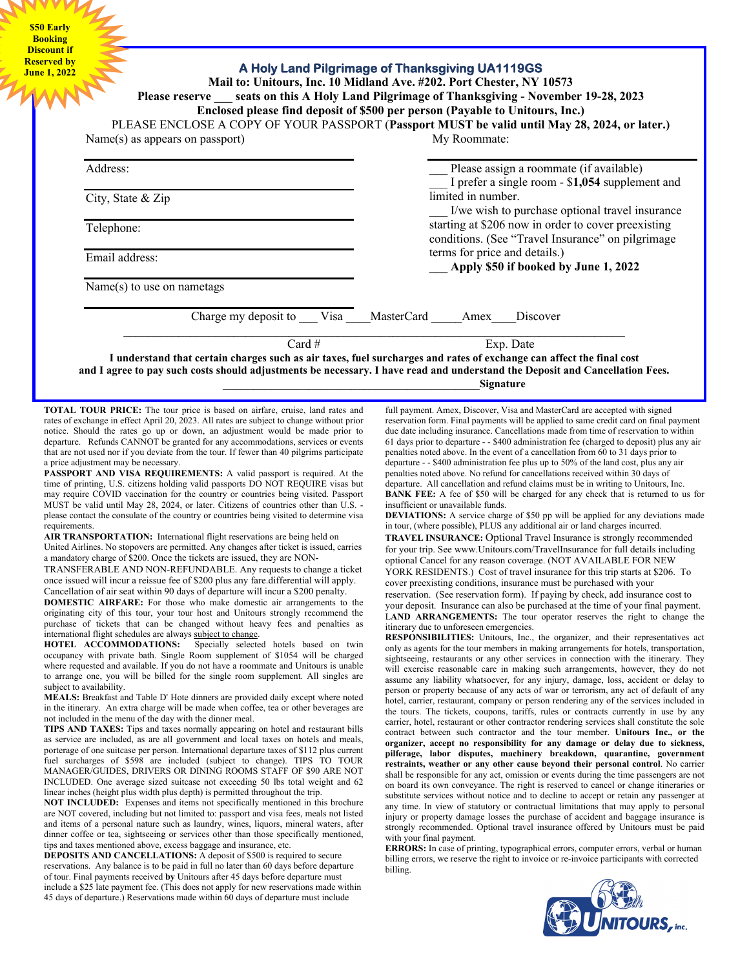**\$50 Early Booking Discount if Reserved by** 

## **June 1, 2022 A Holy Land Pilgrimage of Thanksgiving UA1119GS Mail to: Unitours, Inc. 10 Midland Ave. #202. Port Chester, NY 10573 Please reserve \_\_\_ seats on this A Holy Land Pilgrimage of Thanksgiving - November 19-28, 2023 Enclosed please find deposit of \$500 per person (Payable to Unitours, Inc.)**  PLEASE ENCLOSE A COPY OF YOUR PASSPORT (**Passport MUST be valid until May 28, 2024, or later.)** Name(s) as appears on passport) Address: City, State & Zip Telephone: Email address: Name(s) to use on nametags My Roommate: Please assign a roommate (if available) \_\_\_ I prefer a single room - \$**1,054** supplement and limited in number. I/we wish to purchase optional travel insurance starting at \$206 now in order to cover preexisting conditions. (See "Travel Insurance" on pilgrimage terms for price and details.) \_\_\_ **Apply \$50 if booked by June 1, 2022**  Charge my deposit to Visa MasterCard Amex Discover Card # Exp. Date **I understand that certain charges such as air taxes, fuel surcharges and rates of exchange can affect the final cost and I agree to pay such costs should adjustments be necessary. I have read and understand the Deposit and Cancellation Fees.** \_\_\_\_\_\_\_\_\_\_\_\_\_\_\_\_\_\_\_\_\_\_\_\_\_\_\_\_\_\_\_\_\_\_\_\_\_\_\_\_\_\_**Signature**

**TOTAL TOUR PRICE:** The tour price is based on airfare, cruise, land rates and rates of exchange in effect April 20, 2023. All rates are subject to change without prior notice. Should the rates go up or down, an adjustment would be made prior to departure. Refunds CANNOT be granted for any accommodations, services or events that are not used nor if you deviate from the tour. If fewer than 40 pilgrims participate a price adjustment may be necessary.

**PASSPORT AND VISA REQUIREMENTS:** A valid passport is required. At the time of printing, U.S. citizens holding valid passports DO NOT REQUIRE visas but may require COVID vaccination for the country or countries being visited. Passport MUST be valid until May 28, 2024, or later. Citizens of countries other than U.S. please contact the consulate of the country or countries being visited to determine visa requirements.

AIR TRANSPORTATION: International flight reservations are being held on United Airlines. No stopovers are permitted. Any changes after ticket is issued, carries a mandatory charge of \$200. Once the tickets are issued, they are NON-

TRANSFERABLE AND NON-REFUNDABLE. Any requests to change a ticket once issued will incur a reissue fee of \$200 plus any fare.differential will apply. Cancellation of air seat within 90 days of departure will incur a \$200 penalty.

**DOMESTIC AIRFARE:** For those who make domestic air arrangements to the originating city of this tour, your tour host and Unitours strongly recommend the purchase of tickets that can be changed without heavy fees and penalties as international flight schedules are always subject to change.<br>HOTEL ACCOMMODATIONS: Specially selecte

Specially selected hotels based on twin occupancy with private bath. Single Room supplement of \$1054 will be charged where requested and available. If you do not have a roommate and Unitours is unable to arrange one, you will be billed for the single room supplement. All singles are subject to availability.

**MEALS:** Breakfast and Table D' Hote dinners are provided daily except where noted in the itinerary. An extra charge will be made when coffee, tea or other beverages are not included in the menu of the day with the dinner meal.

**TIPS AND TAXES:** Tips and taxes normally appearing on hotel and restaurant bills as service are included, as are all government and local taxes on hotels and meals, porterage of one suitcase per person. International departure taxes of \$112 plus current fuel surcharges of \$598 are included (subject to change). TIPS TO TOUR MANAGER/GUIDES, DRIVERS OR DINING ROOMS STAFF OF \$90 ARE NOT INCLUDED. One average sized suitcase not exceeding 50 lbs total weight and 62 linear inches (height plus width plus depth) is permitted throughout the trip.

**NOT INCLUDED:** Expenses and items not specifically mentioned in this brochure are NOT covered, including but not limited to: passport and visa fees, meals not listed and items of a personal nature such as laundry, wines, liquors, mineral waters, after dinner coffee or tea, sightseeing or services other than those specifically mentioned, tips and taxes mentioned above, excess baggage and insurance, etc.

**DEPOSITS AND CANCELLATIONS:** A deposit of \$500 is required to secure reservations. Any balance is to be paid in full no later than 60 days before departure of tour. Final payments received **by** Unitours after 45 days before departure must include a \$25 late payment fee. (This does not apply for new reservations made within 45 days of departure.) Reservations made within 60 days of departure must include

full payment. Amex, Discover, Visa and MasterCard are accepted with signed reservation form. Final payments will be applied to same credit card on final payment due date including insurance. Cancellations made from time of reservation to within 61 days prior to departure - - \$400 administration fee (charged to deposit) plus any air penalties noted above. In the event of a cancellation from 60 to 31 days prior to departure - - \$400 administration fee plus up to 50% of the land cost, plus any air penalties noted above. No refund for cancellations received within 30 days of departure. All cancellation and refund claims must be in writing to Unitours, Inc. **BANK FEE:** A fee of \$50 will be charged for any check that is returned to us for insufficient or unavailable funds.

**DEVIATIONS:** A service charge of \$50 pp will be applied for any deviations made in tour, (where possible), PLUS any additional air or land charges incurred.

**TRAVEL INSURANCE:** Optional Travel Insurance is strongly recommended for your trip. See www.Unitours.com/TravelInsurance for full details including optional Cancel for any reason coverage. (NOT AVAILABLE FOR NEW YORK RESIDENTS.) Cost of travel insurance for this trip starts at \$206. To cover preexisting conditions, insurance must be purchased with your

reservation. (See reservation form). If paying by check, add insurance cost to your deposit. Insurance can also be purchased at the time of your final payment. LAND ARRANGEMENTS: The tour operator reserves the right to change the itinerary due to unforeseen emergencies.

**RESPONSIBILITIES:** Unitours, Inc., the organizer, and their representatives act only as agents for the tour members in making arrangements for hotels, transportation, sightseeing, restaurants or any other services in connection with the itinerary. They will exercise reasonable care in making such arrangements, however, they do not assume any liability whatsoever, for any injury, damage, loss, accident or delay to person or property because of any acts of war or terrorism, any act of default of any hotel, carrier, restaurant, company or person rendering any of the services included in the tours. The tickets, coupons, tariffs, rules or contracts currently in use by any carrier, hotel, restaurant or other contractor rendering services shall constitute the sole contract between such contractor and the tour member. **Unitours Inc., or the organizer, accept no responsibility for any damage or delay due to sickness, pilferage, labor disputes, machinery breakdown, quarantine, government restraints, weather or any other cause beyond their personal control**. No carrier shall be responsible for any act, omission or events during the time passengers are not on board its own conveyance. The right is reserved to cancel or change itineraries or substitute services without notice and to decline to accept or retain any passenger at any time. In view of statutory or contractual limitations that may apply to personal injury or property damage losses the purchase of accident and baggage insurance is strongly recommended. Optional travel insurance offered by Unitours must be paid with your final payment.

**ERRORS:** In case of printing, typographical errors, computer errors, verbal or human billing errors, we reserve the right to invoice or re-invoice participants with corrected billing.